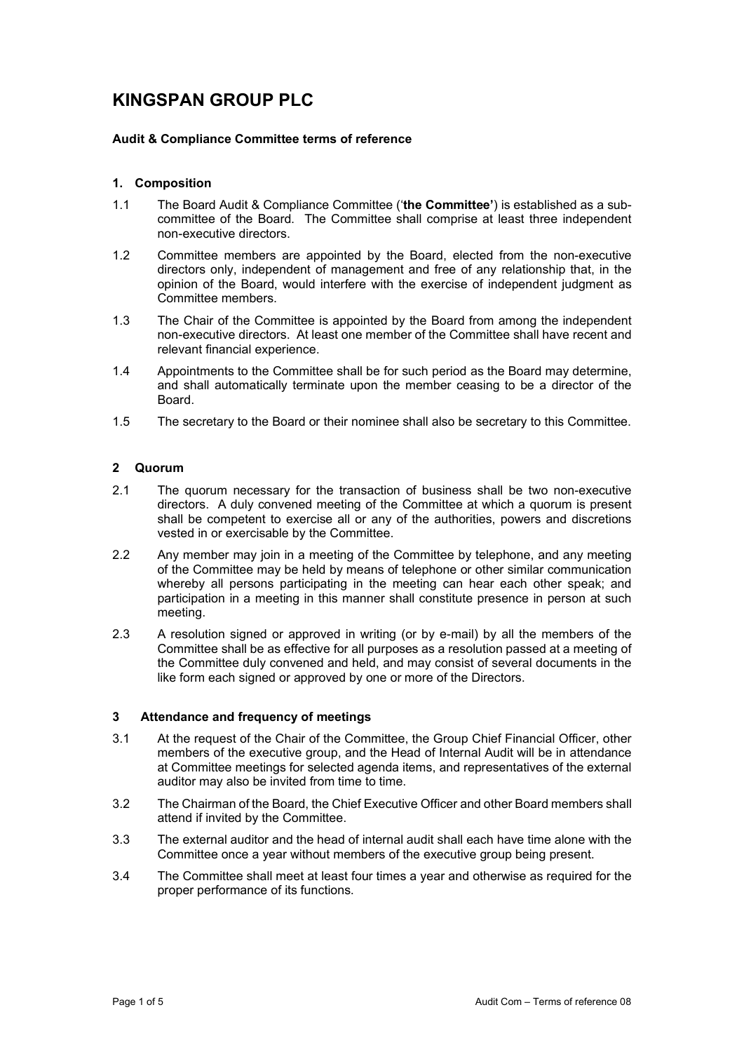# **KINGSPAN GROUP PLC**

# **Audit & Compliance Committee terms of reference**

## **1. Composition**

- 1.1 The Board Audit & Compliance Committee ('**the Committee'**) is established as a subcommittee of the Board. The Committee shall comprise at least three independent non-executive directors.
- 1.2 Committee members are appointed by the Board, elected from the non-executive directors only, independent of management and free of any relationship that, in the opinion of the Board, would interfere with the exercise of independent judgment as Committee members.
- 1.3 The Chair of the Committee is appointed by the Board from among the independent non-executive directors. At least one member of the Committee shall have recent and relevant financial experience.
- 1.4 Appointments to the Committee shall be for such period as the Board may determine, and shall automatically terminate upon the member ceasing to be a director of the Board.
- 1.5 The secretary to the Board or their nominee shall also be secretary to this Committee.

## **2 Quorum**

- 2.1 The quorum necessary for the transaction of business shall be two non-executive directors. A duly convened meeting of the Committee at which a quorum is present shall be competent to exercise all or any of the authorities, powers and discretions vested in or exercisable by the Committee.
- 2.2 Any member may join in a meeting of the Committee by telephone, and any meeting of the Committee may be held by means of telephone or other similar communication whereby all persons participating in the meeting can hear each other speak; and participation in a meeting in this manner shall constitute presence in person at such meeting.
- 2.3 A resolution signed or approved in writing (or by e-mail) by all the members of the Committee shall be as effective for all purposes as a resolution passed at a meeting of the Committee duly convened and held, and may consist of several documents in the like form each signed or approved by one or more of the Directors.

# **3 Attendance and frequency of meetings**

- 3.1 At the request of the Chair of the Committee, the Group Chief Financial Officer, other members of the executive group, and the Head of Internal Audit will be in attendance at Committee meetings for selected agenda items, and representatives of the external auditor may also be invited from time to time.
- 3.2 The Chairman of the Board, the Chief Executive Officer and other Board members shall attend if invited by the Committee.
- 3.3 The external auditor and the head of internal audit shall each have time alone with the Committee once a year without members of the executive group being present.
- 3.4 The Committee shall meet at least four times a year and otherwise as required for the proper performance of its functions.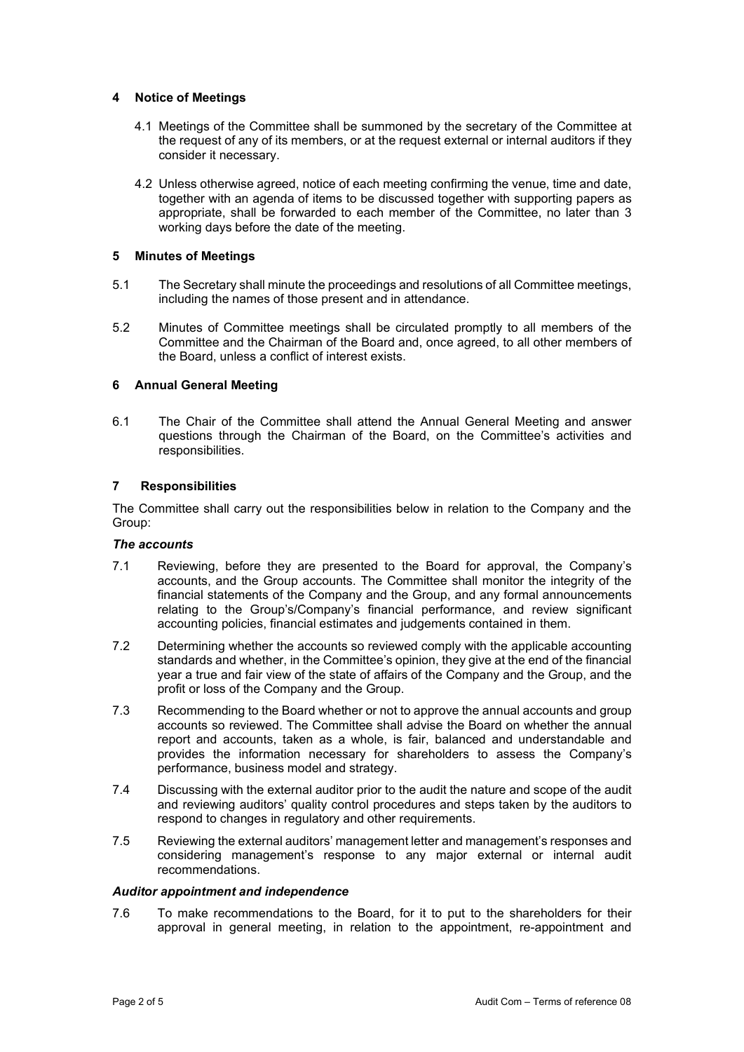# **4 Notice of Meetings**

- 4.1 Meetings of the Committee shall be summoned by the secretary of the Committee at the request of any of its members, or at the request external or internal auditors if they consider it necessary.
- 4.2 Unless otherwise agreed, notice of each meeting confirming the venue, time and date, together with an agenda of items to be discussed together with supporting papers as appropriate, shall be forwarded to each member of the Committee, no later than 3 working days before the date of the meeting.

## **5 Minutes of Meetings**

- 5.1 The Secretary shall minute the proceedings and resolutions of all Committee meetings, including the names of those present and in attendance.
- 5.2 Minutes of Committee meetings shall be circulated promptly to all members of the Committee and the Chairman of the Board and, once agreed, to all other members of the Board, unless a conflict of interest exists.

## **6 Annual General Meeting**

6.1 The Chair of the Committee shall attend the Annual General Meeting and answer questions through the Chairman of the Board, on the Committee's activities and responsibilities.

## **7 Responsibilities**

The Committee shall carry out the responsibilities below in relation to the Company and the Group:

#### *The accounts*

- 7.1 Reviewing, before they are presented to the Board for approval, the Company's accounts, and the Group accounts. The Committee shall monitor the integrity of the financial statements of the Company and the Group, and any formal announcements relating to the Group's/Company's financial performance, and review significant accounting policies, financial estimates and judgements contained in them.
- 7.2 Determining whether the accounts so reviewed comply with the applicable accounting standards and whether, in the Committee's opinion, they give at the end of the financial year a true and fair view of the state of affairs of the Company and the Group, and the profit or loss of the Company and the Group.
- 7.3 Recommending to the Board whether or not to approve the annual accounts and group accounts so reviewed. The Committee shall advise the Board on whether the annual report and accounts, taken as a whole, is fair, balanced and understandable and provides the information necessary for shareholders to assess the Company's performance, business model and strategy.
- 7.4 Discussing with the external auditor prior to the audit the nature and scope of the audit and reviewing auditors' quality control procedures and steps taken by the auditors to respond to changes in regulatory and other requirements.
- 7.5 Reviewing the external auditors' management letter and management's responses and considering management's response to any major external or internal audit recommendations.

#### *Auditor appointment and independence*

7.6 To make recommendations to the Board, for it to put to the shareholders for their approval in general meeting, in relation to the appointment, re-appointment and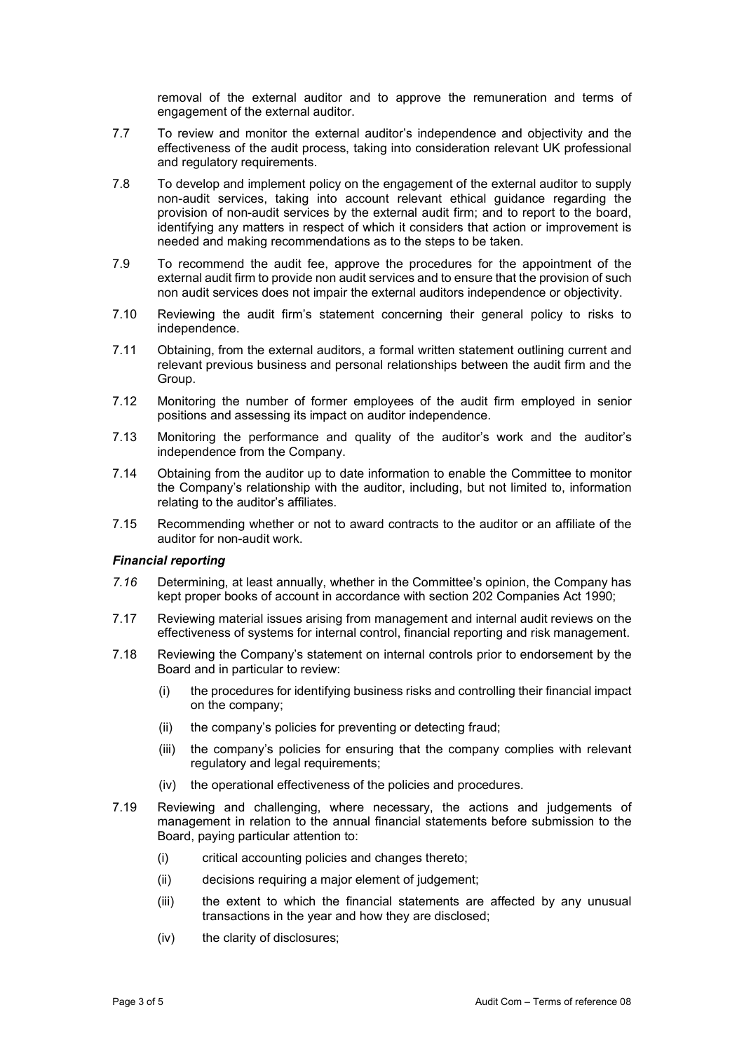removal of the external auditor and to approve the remuneration and terms of engagement of the external auditor.

- 7.7 To review and monitor the external auditor's independence and objectivity and the effectiveness of the audit process, taking into consideration relevant UK professional and regulatory requirements.
- 7.8 To develop and implement policy on the engagement of the external auditor to supply non-audit services, taking into account relevant ethical guidance regarding the provision of non-audit services by the external audit firm; and to report to the board, identifying any matters in respect of which it considers that action or improvement is needed and making recommendations as to the steps to be taken.
- 7.9 To recommend the audit fee, approve the procedures for the appointment of the external audit firm to provide non audit services and to ensure that the provision of such non audit services does not impair the external auditors independence or objectivity.
- 7.10 Reviewing the audit firm's statement concerning their general policy to risks to independence.
- 7.11 Obtaining, from the external auditors, a formal written statement outlining current and relevant previous business and personal relationships between the audit firm and the Group.
- 7.12 Monitoring the number of former employees of the audit firm employed in senior positions and assessing its impact on auditor independence.
- 7.13 Monitoring the performance and quality of the auditor's work and the auditor's independence from the Company.
- 7.14 Obtaining from the auditor up to date information to enable the Committee to monitor the Company's relationship with the auditor, including, but not limited to, information relating to the auditor's affiliates.
- 7.15 Recommending whether or not to award contracts to the auditor or an affiliate of the auditor for non-audit work.

#### *Financial reporting*

- *7.16* Determining, at least annually, whether in the Committee's opinion, the Company has kept proper books of account in accordance with section 202 Companies Act 1990;
- 7.17 Reviewing material issues arising from management and internal audit reviews on the effectiveness of systems for internal control, financial reporting and risk management.
- 7.18 Reviewing the Company's statement on internal controls prior to endorsement by the Board and in particular to review:
	- (i) the procedures for identifying business risks and controlling their financial impact on the company;
	- (ii) the company's policies for preventing or detecting fraud;
	- (iii) the company's policies for ensuring that the company complies with relevant regulatory and legal requirements;
	- (iv) the operational effectiveness of the policies and procedures.
- 7.19 Reviewing and challenging, where necessary, the actions and judgements of management in relation to the annual financial statements before submission to the Board, paying particular attention to:
	- (i) critical accounting policies and changes thereto;
	- (ii) decisions requiring a major element of judgement;
	- (iii) the extent to which the financial statements are affected by any unusual transactions in the year and how they are disclosed;
	- (iv) the clarity of disclosures;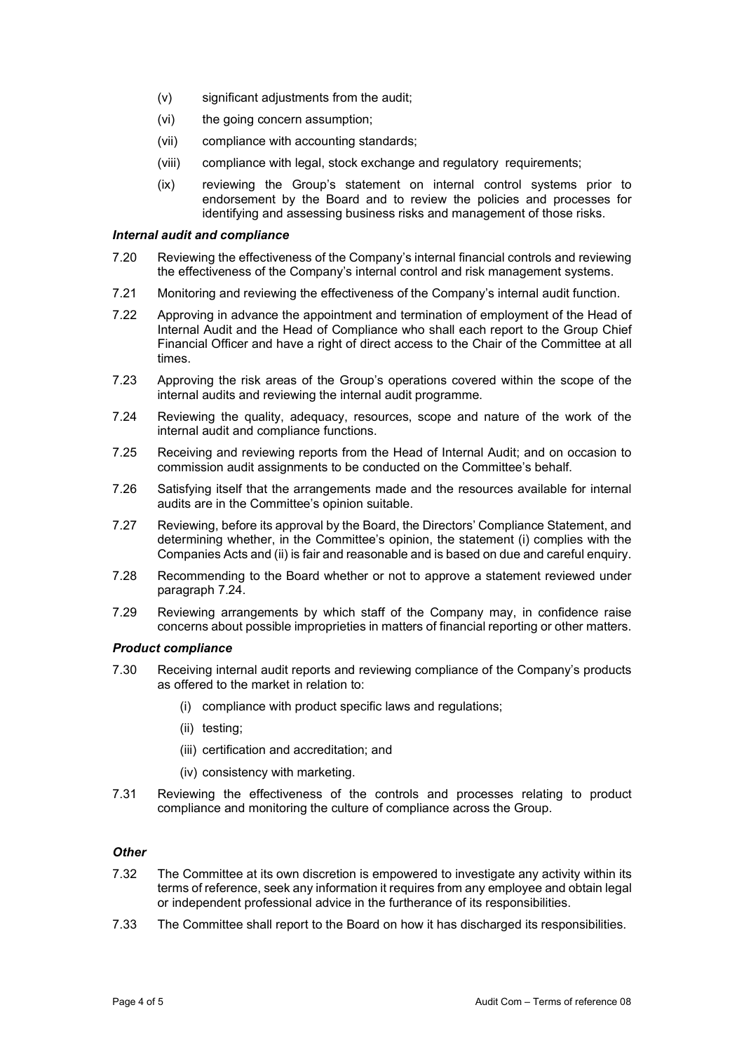- (v) significant adjustments from the audit;
- (vi) the going concern assumption;
- (vii) compliance with accounting standards;
- (viii) compliance with legal, stock exchange and regulatory requirements;
- (ix) reviewing the Group's statement on internal control systems prior to endorsement by the Board and to review the policies and processes for identifying and assessing business risks and management of those risks.

#### *Internal audit and compliance*

- 7.20 Reviewing the effectiveness of the Company's internal financial controls and reviewing the effectiveness of the Company's internal control and risk management systems.
- 7.21 Monitoring and reviewing the effectiveness of the Company's internal audit function.
- 7.22 Approving in advance the appointment and termination of employment of the Head of Internal Audit and the Head of Compliance who shall each report to the Group Chief Financial Officer and have a right of direct access to the Chair of the Committee at all times.
- 7.23 Approving the risk areas of the Group's operations covered within the scope of the internal audits and reviewing the internal audit programme.
- 7.24 Reviewing the quality, adequacy, resources, scope and nature of the work of the internal audit and compliance functions.
- 7.25 Receiving and reviewing reports from the Head of Internal Audit; and on occasion to commission audit assignments to be conducted on the Committee's behalf.
- 7.26 Satisfying itself that the arrangements made and the resources available for internal audits are in the Committee's opinion suitable.
- 7.27 Reviewing, before its approval by the Board, the Directors' Compliance Statement, and determining whether, in the Committee's opinion, the statement (i) complies with the Companies Acts and (ii) is fair and reasonable and is based on due and careful enquiry.
- 7.28 Recommending to the Board whether or not to approve a statement reviewed under paragraph 7.24.
- 7.29 Reviewing arrangements by which staff of the Company may, in confidence raise concerns about possible improprieties in matters of financial reporting or other matters.

#### *Product compliance*

- 7.30 Receiving internal audit reports and reviewing compliance of the Company's products as offered to the market in relation to:
	- (i) compliance with product specific laws and regulations;
	- (ii) testing;
	- (iii) certification and accreditation; and
	- (iv) consistency with marketing.
- 7.31 Reviewing the effectiveness of the controls and processes relating to product compliance and monitoring the culture of compliance across the Group.

# *Other*

- 7.32 The Committee at its own discretion is empowered to investigate any activity within its terms of reference, seek any information it requires from any employee and obtain legal or independent professional advice in the furtherance of its responsibilities.
- 7.33 The Committee shall report to the Board on how it has discharged its responsibilities.